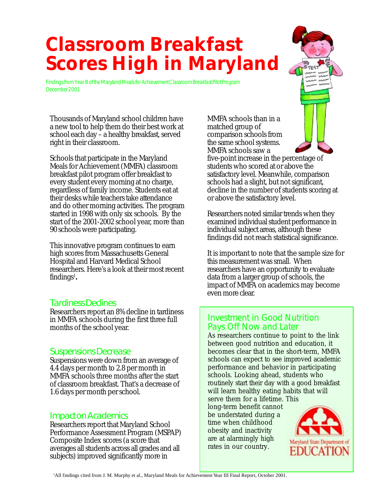# *Classroom Breakfast Scores High in Maryland*

Findings from Year III of the Maryland Meals for Achievement Classroom Breakfast Pilot Program December 2001

Thousands of Maryland school children have a new tool to help them do their best work at school each day – a healthy breakfast, served right in their classroom.

Schools that participate in the Maryland Meals for Achievement (MMFA) classroom breakfast pilot program offer breakfast to every student every morning at no charge, regardless of family income. Students eat at their desks while teachers take attendance and do other morning activities. The program started in 1998 with only six schools. By the start of the 2001-2002 school year, more than 90 schools were participating.

This innovative program continues to earn high scores from Massachusetts General Hospital and Harvard Medical School researchers. Here's a look at their most recent  $\operatorname{findings^1}$ .

## Tardiness Declines

Researchers report an 8% decline in tardiness in MMFA schools during the first three full months of the school year.

## Suspensions Decrease

Suspensions were down from an average of 4.4 days per month to 2.8 per month in MMFA schools three months after the start of classroom breakfast. That's a decrease of 1.6 days per month per school.

## Impact on Academics

Researchers report that Maryland School Performance Assessment Program (MSPAP) Composite Index scores (a score that averages all students across all grades and all subjects) improved significantly more in

MMFA schools than in a matched group of comparison schools from the same school systems. MMFA schools saw a

five-point increase in the percentage of students who scored at or above the satisfactory level. Meanwhile, comparison schools had a slight, but not significant, decline in the number of students scoring at or above the satisfactory level.

Researchers noted similar trends when they examined individual student performance in individual subject areas, although these findings did not reach statistical significance.

It is important to note that the sample size for this measurement was small. When researchers have an opportunity to evaluate data from a larger group of schools, the impact of MMFA on academics may become even more clear.

## Investment in Good Nutrition Pays Off Now and Later

As researchers continue to point to the link between good nutrition and education, it becomes clear that in the short-term, MMFA schools can expect to see improved academic performance and behavior in participating schools. Looking ahead, students who routinely start their day with a good breakfast will learn healthy eating habits that will

serve them for a lifetime. This long-term benefit cannot be understated during a time when childhood obesity and inactivity are at alarmingly high rates in our country.



1 All findings cited from J. M. Murphy et al., Maryland Meals for Achievement Year III Final Report, October 2001.

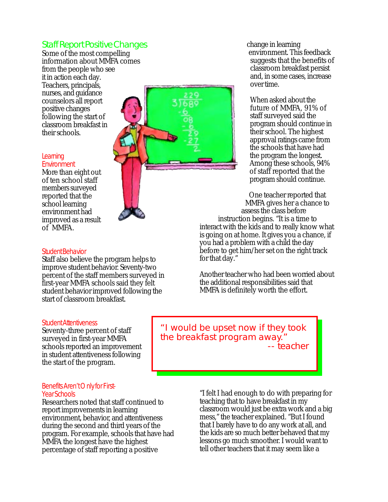## Staff Report Positive Changes

Some of the most compelling information about MMFA comes from the people who see it in action each day. Teachers, principals, nurses, and guidance counselors all report positive changes following the start of classroom breakfast in their schools.

# *Learning*

*Environment* More than eight out of ten school staff members surveyed reported that the school learning environment had improved as a result of MMFA.



### *Student Behavior*

Staff also believe the program helps to improve student behavior. Seventy-two percent of the staff members surveyed in first-year MMFA schools said they felt student behavior improved following the start of classroom breakfast.

change in learning environment. This feedback suggests that the benefits of classroom breakfast persist and, in some cases, increase over time.

When asked about the future of MMFA, 91% of staff surveyed said the program should continue in their school. The highest approval ratings came from the schools that have had the program the longest. Among these schools, 94% of staff reported that the program should continue.

One teacher reported that MMFA gives her a chance to assess the class before instruction begins. "It is a time to interact with the kids and to really know what is going on at home. It gives you a chance, if you had a problem with a child the day before to get him/her set on the right track for that day."

Another teacher who had been worried about the additional responsibilities said that MMFA is definitely worth the effort.

#### *Student Attentiveness*

Seventy-three percent of staff surveyed in first-year MMFA schools reported an improvement in student attentiveness following the start of the program.

#### *Benefits Aren't Only for First-Year Schools*

Researchers noted that staff continued to report improvements in learning environment, behavior, and attentiveness during the second and third years of the program. For example, schools that have had MMFA the longest have the highest percentage of staff reporting a positive

"I would be upset now if they took the breakfast program away." -- teacher

> "I felt I had enough to do with preparing for teaching that to have breakfast in my classroom would just be extra work and a big mess," the teacher explained. "But I found that I barely have to do any work at all, and the kids are so much better behaved that my lessons go much smoother. I would want to tell other teachers that it may seem like a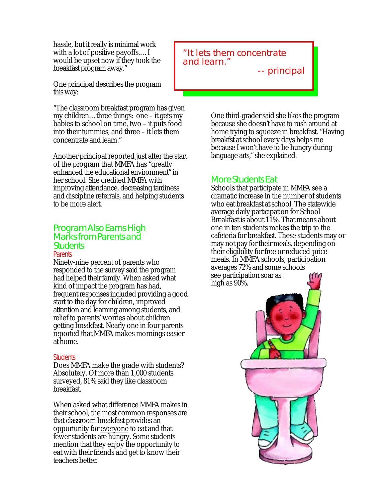hassle, but it really is minimal work with a lot of positive payoffs.…I would be upset now if they took the breakfast program away."

One principal describes the program this way:

"The classroom breakfast program has given my children…three things: one – it gets my babies to school on time, two – it puts food into their tummies, and three – it lets them concentrate and learn."

Another principal reported just after the start of the program that MMFA has "greatly enhanced the educational environment" in her school. She credited MMFA with improving attendance, decreasing tardiness and discipline referrals, and helping students to be more alert.

## Program Also Earns High Marks from Parents and **Students**

#### *Parents*

Ninety-nine percent of parents who responded to the survey said the program had helped their family. When asked what kind of impact the program has had, frequent responses included providing a good start to the day for children, improved attention and learning among students, and relief to parents' worries about children getting breakfast. Nearly one in four parents reported that MMFA makes mornings easier at home.

#### *Students*

Does MMFA make the grade with students? Absolutely. Of more than 1,000 students surveyed, 81% said they like classroom breakfast.

When asked what difference MMFA makes in their school, the most common responses are that classroom breakfast provides an opportunity for everyone to eat and that fewer students are hungry. Some students mention that they enjoy the opportunity to eat with their friends and get to know their teachers better.

## "It lets them concentrate and learn."

-- principal

One third-grader said she likes the program because she doesn't have to rush around at home trying to squeeze in breakfast. "Having breakfst at school every days helps me because I won't have to be hungry during language arts," she explained.

## More Students Eat

Schools that participate in MMFA see a dramatic increase in the number of students who eat breakfast at school. The statewide average daily participation for School Breakfast is about 11%. That means about one in ten students makes the trip to the cafeteria for breakfast. These students may or may not pay for their meals, depending on their eligibility for free or reduced-price meals. In MMFA schools, participation averages 72% and some schools see participation soar as high as 90%.

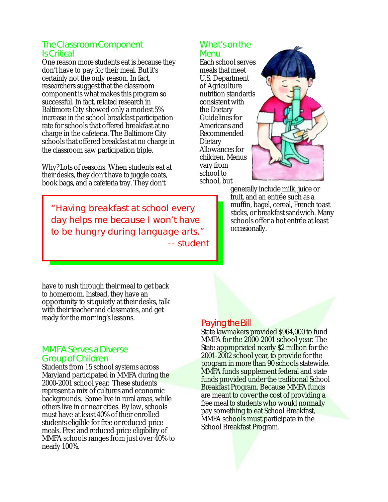## The Classroom Component Is Critical

One reason more students eat is because they don't have to pay for their meal. But it's certainly not the only reason. In fact, researchers suggest that the classroom component is what makes this program so successful. In fact, related research in Baltimore City showed only a modest 5% increase in the school breakfast participation rate for schools that offered breakfast at no charge in the cafeteria. The Baltimore City schools that offered breakfast at no charge in the classroom saw participation triple.

Why? Lots of reasons. When students eat at their desks, they don't have to juggle coats, book bags, and a cafeteria tray. They don't

"Having breakfast at school every day helps me because I won't have to be hungry during language arts." -- student

## What's on the Menu

Each school serves meals that meet U.S. Department of Agriculture nutrition standards consistent with the Dietary Guidelines for Americans and Recommended **Dietary** Allowances for children. Menus vary from school to school, but



generally include milk, juice or fruit, and an entrée such as a muffin, bagel, cereal, French toast sticks, or breakfast sandwich. Many schools offer a hot entrée at least occasionally.

have to rush through their meal to get back to homeroom. Instead, they have an opportunity to sit quietly at their desks, talk with their teacher and classmates, and get ready for the morning's lessons.

## MMFA Serves a Diverse Group of Children

Students from 15 school systems across Maryland participated in MMFA during the 2000-2001 school year. These students represent a mix of cultures and economic backgrounds. Some live in rural areas, while others live in or near cities. By law, schools must have at least 40% of their enrolled students eligible for free or reduced-price meals. Free and reduced-price eligibility of MMFA schools ranges from just over 40% to nearly 100%.

## Paying the Bill

State lawmakers provided \$964,000 to fund MMFA for the 2000-2001 school year. The State appropriated nearly \$2 million for the 2001-2002 school year, to provide for the program in more than 90 schools statewide. MMFA funds supplement federal and state funds provided under the traditional School Breakfast Program. Because MMFA funds are meant to cover the cost of providing a free meal to students who would normally pay something to eat School Breakfast, MMFA schools must participate in the School Breakfast Program.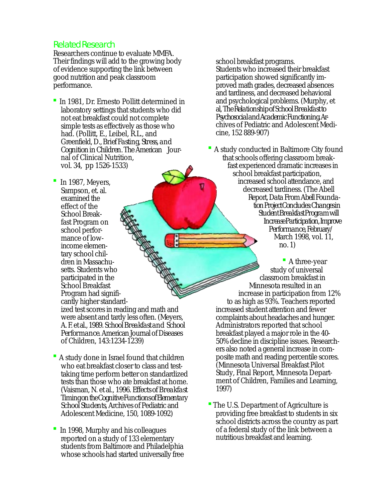## Related Research

Researchers continue to evaluate MMFA. Their findings will add to the growing body of evidence supporting the link between good nutrition and peak classroom performance.

 In 1981, Dr. Ernesto Pollitt determined in laboratory settings that students who did not eat breakfast could not complete simple tests as effectively as those who had. (Pollitt, E., Leibel, R.L., and Greenfield, D., *Brief Fasting, Stress, and Cognition in Children*. The American Journal of Clinical Nutrition, vol. 34, pp 1526-1533)

 In 1987, Meyers, Sampson, et. al. examined the effect of the School Breakfast Program on school performance of lowincome elementary school children in Massachusetts. Students who participated in the School Breakfast Program had significantly higher standardized test scores in reading and math and were absent and tardy less often. (Meyers, A. F. et al., 1989. *School Breakfast and School Performance*. American Journal of Diseases of Children, 143:1234-1239)

- A study done in Israel found that children who eat breakfast closer to class and testtaking time perform better on standardized tests than those who ate breakfast at home. (Vaisman, N. et al., 1996. *Effects of Breakfast Timing on the Cognitive Functions of Elementary School Students*, Archives of Pediatric and Adolescent Medicine, 150, 1089-1092)
- In 1998, Murphy and his colleagues reported on a study of 133 elementary students from Baltimore and Philadelphia whose schools had started universally free

school breakfast programs. Students who increased their breakfast participation showed significantly improved math grades, decreased absences and tardiness, and decreased behavioral and psychological problems. (Murphy, et al, *The Relationship of School Breakfast to Psychosocial andAcademic Functioning*. Archives of Pediatric and Adolescent Medicine, 152 889-907)

 A study conducted in Baltimore City found that schools offering classroom breakfast experienced dramatic increases in school breakfast participation, increased school attendance, and decreased tardiness. (The Abell Report, *Data From Abell Foundation Project Concludes: Changes in Student Breakfast Program will Increase Participation, Improve Performance*, February/ March 1998, vol. 11, no. 1)

 A three-year study of universal classroom breakfast in Minnesota resulted in an increase in participation from 12% to as high as 93%. Teachers reported increased student attention and fewer complaints about headaches and hunger. Administrators reported that school breakfast played a major role in the 40- 50% decline in discipline issues. Researchers also noted a general increase in composite math and reading percentile scores. (Minnesota Universal Breakfast Pilot Study, Final Report, Minnesota Department of Children, Families and Learning, 1997)

 The U.S. Department of Agriculture is providing free breakfast to students in six school districts across the country as part of a federal study of the link between a nutritious breakfast and learning.